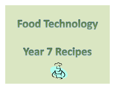## **Food Technology**

## **Year 7 Recipes**

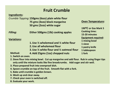### Fruit Crumble

|                            | <b>Fruit Crumble</b>                                                                                                                                                                                                      |                            |
|----------------------------|---------------------------------------------------------------------------------------------------------------------------------------------------------------------------------------------------------------------------|----------------------------|
| <b>Ingredients:</b>        |                                                                                                                                                                                                                           |                            |
|                            | Crumble Topping: 150gms (60zs) plain white flour                                                                                                                                                                          |                            |
|                            | 75 gms (3ozs) block margarine                                                                                                                                                                                             | <b>Oven Temperature:</b>   |
|                            | 50 gms (2ozs) white sugar                                                                                                                                                                                                 |                            |
|                            |                                                                                                                                                                                                                           | 190°C or Gas Mark 5        |
| <b>Filling:</b>            | Either 500gms (1lb) cooking apples                                                                                                                                                                                        | <b>Cooking time:</b>       |
|                            |                                                                                                                                                                                                                           | 15-20 minutes              |
| <b>Variations:</b>         |                                                                                                                                                                                                                           | <b>Equipment required:</b> |
|                            | 1. Use $\frac{1}{2}$ wholemeal and $\frac{1}{2}$ white flour                                                                                                                                                              | 1 mixing bowl              |
|                            | 2. Use all wholemeal flour                                                                                                                                                                                                | 1 sieve                    |
|                            | 3. Use $\frac{1}{2}$ white flour and $\frac{1}{2}$ oatmeal flour                                                                                                                                                          | 1 pastry knife             |
| <b>Method:</b>             |                                                                                                                                                                                                                           | 1 tablespoon               |
| 1. Switch on oven.         | 4. Add 25gms (1oz) chopped nuts                                                                                                                                                                                           | 1 fork                     |
|                            | 2. Sieve flour into mixing bowl. Cut up margarine and add flour. Rub in using finger tips<br>only until the mixture looks like fine breadcrumbs. Add sugar and stir well.<br>3. Place prepared fruit into ovenproof dish. |                            |
|                            | 4. Spoon crumble on top of the fruit. Smooth flat with a fork.                                                                                                                                                            |                            |
|                            | 5. Bake until crumble is golden brown.                                                                                                                                                                                    |                            |
| 6. Wash up and clear away. |                                                                                                                                                                                                                           |                            |
|                            | 7. Check your oven is switched off.                                                                                                                                                                                       |                            |
| 8. Evaluate your work.     |                                                                                                                                                                                                                           |                            |

- 
- only until the mixture looks like fine breadcrumbs. Add sugar and stir well.
- 
- 
- 
- 
- 
-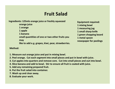### Fruit Salad

|                                                                                                                                                                                                                                                                                                                                                                                                                                                             | Ingredients: 125mls orange juice or freshly squeezed<br>orange juice<br>1 orange<br>1 apple<br>1 banana<br>small quantities of one or two other fruits you<br>may<br>like to add e.g. grapes, kiwi, pear, strawberries. | <b>Equipment required:</b><br>1 mixing bowl<br>1 measuring jug<br>1 small sharp knife<br>1 green chopping board<br>1 metal spoon<br>newspaper for peelings |  |  |  |
|-------------------------------------------------------------------------------------------------------------------------------------------------------------------------------------------------------------------------------------------------------------------------------------------------------------------------------------------------------------------------------------------------------------------------------------------------------------|-------------------------------------------------------------------------------------------------------------------------------------------------------------------------------------------------------------------------|------------------------------------------------------------------------------------------------------------------------------------------------------------|--|--|--|
| <b>Method:</b>                                                                                                                                                                                                                                                                                                                                                                                                                                              |                                                                                                                                                                                                                         |                                                                                                                                                            |  |  |  |
| 1. Measure out orange juice and put in mixing bowl.<br>2. Peel orange. Cut each segment into small pieces and put in bowl with juice.<br>3. Cut apples into quarters and remove core. Cut into small pieces and out into bowl.<br>4. Slice banana and add to bowl. Stir to ensure all fruit is coated with juice.<br>5. Add any remaining prepared fruit.<br>6. Put the fruit salad into container.<br>7. Wash up and clear away.<br>8. Evaluate your work. |                                                                                                                                                                                                                         |                                                                                                                                                            |  |  |  |

- 
- 
- 
- 
- 
- 
- 
-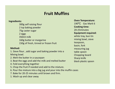#### Fruit Muffins

#### Ingredients:

300g self raising flour 2 tsp baking powder 75g caster sugar 2 eggs 350ml milk 160g butter or margarine 150g of fresh, tinned or frozen fruit **1.** Sieve flow the butter in a saucepan<br>
190°C Galaxing flour<br>
190°C Galaxing powder<br>
190°C Galaxing powder<br>
190°C Galaxing to the cooking tir<br>
20-25minu<br>
20-25minu<br>
20-25minu<br>
Equipment<br>
20-25minu<br>
Equipment<br>
150g of fre

#### Method:

Mixing bowl. 150g of fresh, tinned or frozen fruit<br>150g of fresh, tinned or frozen fruit<br>1. Sieve flour, add sugar and baking powder int<br>Mixing bowl.<br>2. Melt the butter in a saucepan<br>3. Beat the eggs and add the milk and melted b<br>4. Fo

2. Melt the butter in a saucepan

- 3. Beat the eggs and add the milk and melted butter
- 4. Fold everything together
- 5. Chop the fruit if needed and add to the mixture.
- 6. Pour the mixture into a big jug and pour into the muffin cases
- 7. Bake for 20-25 minutes until brown and firm.
- 

Oven Temperature: 190ºC Gas Mark 6 Cooking time: 20-25minutes Equipment required: white tray, bun tin mixing bowl, sieve teaspoon, basin, fork measuring jug table spoon Chopping board Sharp knife black plastic spoon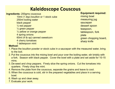### Kaleidoscope Couscous

Ingredients: 200gms couscous 10ml (1 dsp) bouillon or 1 stock cube 250ml boiling water black pepper ¼ red pepper ¼ green pepper ¼ yellow or orange pepper 4 spring onions **Kaleidoscope Couscous**<br> **10ml** (1 dsp) bouillon or 1 stock cube<br>
10ml (1 dsp) bouillon or 1 stock cube<br>
250ml boiling water<br>
black pepper<br>
1/4 red pepper<br>
1/4 yellow or orange pepper<br>
4 spring onions<br>
60ml (4 tb sp) canne 4 cherry tomatoes 1 tablespoon mint **Equipment required:**<br>
1. Place the power of the bouillon or 1 stock cube<br>
250ml boiling water<br>
250ml boiling water<br>
black pepper<br>
260ml boiling water<br>
260ml biling water<br>
260ml (4 to pepper<br>
26 green pepper<br>
26 green the 2. Put the couscous into the mixing bowl and pour over the boiling water<br>
2.50ml boiling water<br>
2. Put the couscous into the mixing bowl and pour over the boiling board,<br>
2. Put the couscous into the mixing bowl and pour o <sup>24</sup> are pepper<br>
<sup>34</sup> a green pepper<br>
<sup>34</sup> a green pepper<br>
<sup>34</sup> a green chopping<br>
<sup>4</sup> denty tomatoes<br> **60ml** (4 tb sp) canned sweetcorn<br>
<sup>4</sup> cheny tomatoes<br>
<sup>1</sup> tablespoon mint<br> **1.** Place the bouillon powder or stock cube

Equipment required: mixing bowl measuring jug

- saucepan dessert spoon
- teaspoon,
- tablespoon, fork plate
- green chopping board, sharp knife

- to the boil.
- a fork. Season with black pepper. Cover the bowl with a plate and set aside for 10-15 mins. 4. Person of orange pepper<br>
4. Separate only (4. tb sp) canned sweetcorn<br>
4. Separate from the plate space of the plate from the couscous into the mixing bowl and pour over the boiling water, stir briskly with<br>
1. Place th Frame of the couscous is cold, stir in the prepared vegetables and place in a serving the couscous into the mixing bowl and pour over the boiling water, stir briskly with a fork. Season with black pepper. Cover the boiling Formation and the set of the bouillon powder or stock cube in a<br>1. Place the bouillon powder or stock cube in a<br>to the boil.<br>2. Put the couscous into the mixing bowl and p<br>a fork. Season with black pepper. Cover the<br>mins.<br> **Method:**<br>1. Place the bouillon powder or stock cube in a<br>to the boil.<br>2. Put the couscous into the mixing bowl and p<br>a fork. Season with black pepper. Cover th<br>mins.<br>3. De-seed and chop peppers. Finely slice the<br>quarters.
- quarters. Finely chop the mint.
- 
- bowl.
- 
-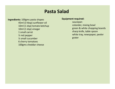### Pasta Salad

Ingredients: 100gms pasta shapes 45ml (3 tbsp) sunflower oil 10ml (1 dsp) tomato ketchup 10ml (1 dsp) vinegar 1 small carrot ½ red pepper ½ small cucumber 6 cherry tomatoes 100gms cheddar cheese

#### Equipment required:

saucepan colander, mixing bowl green & white chopping boards sharp knife, table spoon white tray, newspaper, peeler grater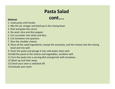## Pasta Salad

### cont....

- 
- **Pasta !**<br> **Pasta !..**<br> **CONT**<br> **CONT**<br> **CONT**<br> **CONT**<br> **CONT**<br> **CONT**<br> **CONT**<br> **CONT**<br> **CONT**<br> **CONT**<br> **CONT**<br> **CONT**<br> **CONT**<br> **CONT**<br> **CONT**<br> **CONT**<br> **CONT**<br> **CONT**<br> **CONT**<br> **CONT**<br> **CONT**<br> **CONT**<br> **CONT**<br> **CONT**<br> **CONT Pasta Salad**<br> **CONT....**<br>
2. Mix the oil, vinegar and ketchup in the mixing bowl.<br>
2. Mix the oil, vinegar and ketchup in the mixing bowl.<br>
3. Peel and grate the carrot.<br>
4. De-seed, slice and dice pepper.<br>
5. Cut cucumbe **Pasta (Standary Control)**<br>3. Cook pasta until tender.<br>2. Mix the oil, vinegar and ketchup in the mixing<br>3. Peel and grate the carrot.<br>4. De-seed, slice and dice pepper.<br>5. Cut cucumber into sticks and dice.<br>6. Cut tomatoe **Pasta (CONT**<br>
Method: 1. Cook pasta until tender.<br>
2. Mix the oil, vinegar and ketchup in the mixing<br>
3. Peel and grate the carrot.<br>
4. De-seed, slice and dice pepper.<br>
5. Cut cucumber into sticks and dice.<br>
6. Cut tomato
- 
- 
- 
- 
- 
- **Pasta (CONT)**<br> **SECOLY**<br> **SECOLY**<br> **SECOLY**<br> **SECOLY**<br> **SECOLY**<br> **SECOLY**<br> **SECOLY**<br> **SECOLY**<br> **SECOLY**<br> **SECOLY**<br> **SECOLY**<br> **SECOLY**<br> **SECOLY**<br> **SECOLY**<br> **SECOLY**<br> **SECOLY**<br> **SECOLY**<br> **SECOLY**<br> **SECOLY**<br> **SECOLY**<br> **SECOL Solution:**<br> **Continuity:**<br> **Continuity:**<br> **Continuity:**<br> **Continuity:**<br> **Continuity:**<br> **Continuity:**<br> **Continuity:**<br> **Continuity:**<br> **Continuity:**<br> **Continuity:**<br> **Continuity:**<br> **Continuity:**<br> **Continuity:**<br> **Continuity:**<br> **Pasta (Continum)**<br> **Pasta Contiff Continum Contiff Contiff Contiff Contiff Continum Contains 3. Peel and grate the carrot.<br>
4. De-seed, slice and dice pepper.<br>
5. Cut cucumber into sticks and dice.<br>
6. Cut tomatoes into q 8. Pasta Salad**<br> **8.** Cook pasta until tender.<br>
2. Mix the oil, vinegar and ketchup in the mixing bowl.<br>
3. Peel and grate the carrot.<br>
4. De-seed, slice and dice pepper.<br>
5. Cut cucumber into sticks and dice.<br>
6. Cut t bowl and mix well. **CONT....**<br>
9. Cook pasta until tender.<br>
2. Mix the oil, vinegar and ketchup in the mixing bowl.<br>
3. Peel and grate the carrot.<br>
4. De-seed, slice and dice pepper.<br>
5. Cut cucumber into sticks and dice.<br>
6. Cut tomatoes in
- 
- 10.Add the pasta to the cheese and vegetables, combine well.
- 11.Turn the pasta into a serving dish and garnish with tomatoes.
- 12.Wash up and clear away.
- 13.Check your oven is switched off.
- 14.Evaluate your work.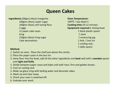### Queen Cakes

Ingredients:100gms (4ozs) margarine 100gms (4ozs) caster sugar 100gms (4ozs) self raising flour 2 eggs 12 paper cake cases **Icing** 150gms (6ozs) icing sugar Cake decorations **1. Switch on oven Server Changes (4025)**<br>
100gms (4025) caster sugar<br>
100gms (4025) caster sugar<br>
2 eggs<br>
2 eggs<br>
12 paper cake cases<br>
12 paper cake cases<br>
16<br>
150gms (6025) icing sugar<br>
11<br>
16<br>
16<br>
16<br>
16<br>
16<br>
16<br>
16<br>
16 2. Place the paper cases and bake until the paper cases<br>2. Place the paper cake cases<br>100gms (4ozs) self raising flour<br>2. eggs<br>2. Place the paper cases<br>150gms (6ozs) icing sugar<br>2. Cake decorations<br>2. Place the paper cases 12 paper cake cases<br>
lcing<br>
150gms (6ozs) icing sugar<br>
Cake decorations<br> **Method:**<br>
1. Switch on oven. Place the shelf just above th<br>
2. Place the paper cases in the bun tin.<br>
3. Sieve flour into the bowl, add all the othe

Oven Temperature: 190ºC / Gas Mark 5 Cooking time:10-12 minutes Equipment required:1 mixing bowl 1 black plastic spoon 1 sieve 1 measuring jug 1 fork, 1 bun tin 1 cooling rack, **1** table spoon and the spoon of the spoon of the spoon and the spoon of the spoon of the spoon of the spoon of the spoon of the spoon of the spoon of the spoon of the spoon of the spoon of the spoon of the spoon of the sp 3. Sieve flour and the booking the site of the booking time:10-12 minutes<br>
2. eggs<br>
12 paper cake cases<br>
12 paper cake cases<br>
130gms (6ozs) icing sugar<br>
136gms (6ozs) icing sugar<br>
136gms (6ozs) icing sugar<br>
136gms (150gms 12 paper cases and fluided the content of the shelf interval of the distribution of the distribution of the distribution of the distribution of the shelf just above the centre.<br>
1. Divided the shelf interval of the shelf i

- 
- 
- <sup>150</sup> 150gms (6ozs) icing sugar<br>
150gms (6ozs) icing sugar<br>
1 measured at the shelf interval of the shelf of the shelf of the shelf<br>
1 cooling<br>
1 table s<br>
2. Place the paper cases in the bun tin.<br>
3. Sieve flour into the b Loogins (6223) reing sagar<br>
Cake decorations<br>
1. Switch on oven. Place the shelf just above th<br>
2. Place the paper cases in the bun tin.<br>
3. Sieve flour into the bowl, add all the other in<br>
until **light and fluffy**.<br>
1. Di Method:<br>1. Switch on oven. Place the shelf just above th<br>2. Place the paper cases in the bun tin.<br>3. Sieve flour into the bowl, add all the other in<br>until **light and fluffy**.<br>1. Divide between paper cases and bake until w<br> **Method:**<br>1. Switch on oven. Place the shelf just above th<br>2. Place the paper cases in the bun tin.<br>3. Sieve flour into the bowl, add all the other in<br>until **light and fluffy**.<br>1. Divide between paper cases and bake until
- 
- 
- 
- 
- 
-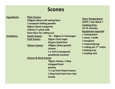### Scones

|                     |                                                                                                                                                                                           | <b>Scones</b>                                                                                                                       |                                                                                                                                                                                                                                                            |
|---------------------|-------------------------------------------------------------------------------------------------------------------------------------------------------------------------------------------|-------------------------------------------------------------------------------------------------------------------------------------|------------------------------------------------------------------------------------------------------------------------------------------------------------------------------------------------------------------------------------------------------------|
| <b>Ingredients:</b> | <b>Plain Scones:</b><br>250gms (80zs) self raising flour<br>1 teaspoon baking powder<br>50gms (20zs) margarine<br>125mls ( $\frac{1}{4}$ pint) milk<br><b>Extra flour for rolling out</b> |                                                                                                                                     | <b>Oven Temperature:</b><br>220°C / Gas Mark 7<br><b>Cooking time:</b><br>10-15 minutes<br><b>Equipment required:</b><br>1 mixing bowl<br>1 sieve, 1 knife<br>1 teaspoon<br>1 measuring jug<br>1 rolling pin, 2" cutter<br>1 baking tray<br>1 cooling rack |
| <b>Variations:</b>  | <b>Sweet Scones:</b><br>25gms (1oz) sugar<br><b>Fruit Scones:</b><br>50 gms dried fruit<br><b>Cheese Scones:</b><br>cheese                                                                | $25 - 50$ gms (1-2ozs)sugar<br>100gms (4ozs) grated<br>1 x 5ml (1 teaspoon)<br>powdered mustard                                     |                                                                                                                                                                                                                                                            |
|                     | <b>Cheese &amp; Herb Scones:</b>                                                                                                                                                          | 75gms cheese, 1 tbsp<br>chopped fresh<br>parsley<br>$\frac{1}{3}$ t sp fresh thyme leaves<br>1 tbsp fresh basil torn into<br>shreds |                                                                                                                                                                                                                                                            |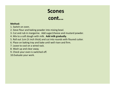# Scone<br>
Method:<br>
1. Switch on oven.<br>
2. Sieve flour and baking powder into mixing box<br>
3. Cut and rub in margarine. Add sugar/cheese<br>
4. Mix to a soft dough with milk. Add milk grad **Scones**<br> **Cont...**<br> **Cont...**<br> **Cont...**<br> **Cont...**<br> **Cont...**<br> **Cont...**<br> **Cont...**<br> **Cont...**<br> **Contexne** into mixing bowl.<br> **Contexness and mustard**<br> **Contexness and mustard**<br> **Contexness and mustard**<br> **Contexness and Scones**<br> **CONT...**<br> **A.** Switch on oven.<br> **A.** Switch on oven.<br> **A.** Cut and rub in margarine. Add sugar/cheese and mustard pov<br> **A.** Mix to a soft dough with milk. Add milk gradually.<br> **S.** Roll out 1cm (½ inch thick) an **Scont:**<br> **Scont:**<br> **Scont:**<br> **Scont:**<br> **Scont:**<br> **Scont:**<br> **Scont:**<br> **Scont:**<br> **Scont:**<br> **Scont:**<br> **Scont:**<br> **Scont:**<br> **Scont:**<br> **Scont:**<br> **Scont:**<br> **Scont:**<br> **Scont:**<br> **Scont:**<br> **Scont:**<br> **Scont:**<br> **Scont:**<br> **Scont:**<br> **S** Scones cont...

- 
- 
- **Scones<br>3. Cut and rub in margarine. Add sugar/cheese and mustard powder.**<br>3. Cut and rub in margarine. Add sugar/cheese and mustard powder.<br>4. Mix to a soft dough with milk. Add milk gradually.<br>5. Roll out 1cm (½ inch thi **SCONES**<br> **SCONES**<br> **CONE...**<br> **SECUTE 1.**<br> **SECUTE 10.**<br> **SECUTE 10.**<br> **SECUTE 10.**<br> **SECUTE 10.**<br> **SECUTE 10.**<br> **SECUTE 10.**<br> **SECUTE 10.**<br> **SECUTE 10.**<br> **SECUTE 10.**<br> **SECUTE 10.**<br> **SECUTE 10.**<br> **SECUTE 10.**<br> **SECUTE 10 Scones**<br> **CONT...**<br> **CONT...**<br> **CONT...**<br> **CONT...**<br> **CONT...**<br> **CONT...**<br> **CONT...**<br> **CONT...**<br> **CONT...**<br> **CONT...**<br> **CONT...**<br> **CONT...**<br> **CONT...**<br> **CONT...**<br> **CONT...**<br> **CONT...**<br> **CONT...**<br> **CONT...**<br> **CONT...**<br> **CO**
- **CONT.**<br> **SECONT:**<br> **SECONT:**<br> **SECONT:**<br> **SECONT:**<br> **SECONT:**<br> **SECONT:**<br> **SECONT:**<br> **SECONT:**<br> **SECONT:**<br> **SECONT:**<br> **SECONT:**<br> **SECONT:**<br> **SECONT:**<br> **SECONT:**<br> **SECONT:**<br> **SECONT:**<br> **SECONT:**<br> **SECONT:**<br> **SECONT:**<br> **SEC CONT.**<br> **Solution:**<br>
1. Switch on oven.<br>
2. Sieve flour and baking powder into mixing bo<br>
3. Cut and rub in margarine. Add sugar/cheese<br>
4. Mix to a soft dough with milk. **Add milk grad**<br>
5. Roll out 1cm (½ inch thick) an
- 
- 
- 
- 
- 
- 10.Evaluate your work.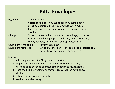### Pitta Envelopes

| <b>Pitta Envelopes</b>                                    |                                                                                                                                                                                                                 |  |  |  |  |  |
|-----------------------------------------------------------|-----------------------------------------------------------------------------------------------------------------------------------------------------------------------------------------------------------------|--|--|--|--|--|
| <b>Ingredients:</b>                                       | 2-4 pieces of pitta<br><b>Choice of fillings</b> $-$ you can choose any combination<br>of ingredients from the list below, that, when mixed<br>together should weigh approximately 100gms for each<br>envelope. |  |  |  |  |  |
| <b>Fillings:</b>                                          | Carrots, cheese, onion, tomato, white cabbage, cucumber,<br>tuna, salmon, ham, peppers, red kidney bean, sweetcorn,<br>celery, peanuts, cashew nuts, beansprouts, radish.                                       |  |  |  |  |  |
| <b>Equipment from home:</b><br><b>Equipment required:</b> | Air tight container.<br>White tray, sharp knife, chopping board, tablespoon,<br>mixing bowl, newspaper, grater, peeler.                                                                                         |  |  |  |  |  |

- 1. Split the pitta ready for filling. Put to one side.
- 2. Prepare the ingredients you have chosen for the filling. They will need to be chopped or grated small enough to mix together.
- 3. Place the filling ingredients as they are ready into the mixing bowl. Mix together.
- 4. Fill each pitta envelope carefully.
- 5. Wash up and clear away.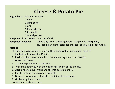### Cheese & Potato Pie

Ingredients: 650gms potatoes

1 onion 30gms butter 1 egg 100gms cheese **Cheese & Potato Pi**<br>
650gms potatoes<br>
1 onion<br>
30gms butter<br>
1 egg<br>
100gms cheese<br>
2 tbsp milk<br>
Salt and pepper<br> **m home:** Oven proof dish.<br>
eded: White tray, green chopping board, sharp Salt and pepper Equipment from home: Oven proof dish. Equipment needed: White tray, green chopping board, sharp knife, newspaper, saucepan, pan stand, colander, masher, peeler, table spoon, fork.

- 1. Peel and slice potatoes, place with salt and water in saucepan, bring to the boil and simmer for 15 mins.
- 2. Peel and chop onion and add to the simmering water after 10 mins.
- 3. Grate the cheese.
- 4. Drain the potatoes in a colander.
- 5. Mash the potatoes with the butter, milk and  $\frac{3}{4}$  of the cheese.
- 6. Crack egg into a jug, whisk and stir into potato mixture
- 7. Put the potatoes in an over proof dish.
- 8. Decorate using a fork. Sprinkle remaining cheese on top.
- 9. Grill until golden brown.
- 10. Wash up and clear away.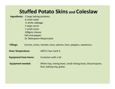### Stuffed Potato Skins and Coleslaw

Ingredients: 2 large baking potatoes A small salad ¼ white cabbage 1 large carrot 1 small onion 100gms cheese Salt and pepper 2x Tablespoon Mayonnaise

Fillings: Carrots, onion, tomato, tuna, salmon, ham, peppers, sweetcorn,

Oven Temperature: 200°C/ Gas mark 6

Equipment from home: Container with a lid

Equipment needed: White tray, mixing bowl, small mixing bowl, dessertspoon, fork, baking tray, grater.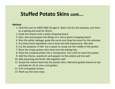### Stuffed Potato Skins cont….

- 1. Heat the oven to 200C/180C fan/gas 6. Wash and dry the potatoes, put them on a baking and cook for 45min.
- 2. Grate the cheese onto a white chopping board.
- 3. Slice, dice and prepare the fillings on a red or green chopping board.
- 4. Slice the white cabbage, grate the carrot and chop the onion for the coleslaw.
- 5. Put these three ingredients into a bowl and add mayonnaise. Mix well.
- 6. Cut the potatoes in half. Use a spoon to scoop out the middle of the potato.
- 7. Place the empty potato skins back onto the baking tray.
- 8. Place the scooped potato into a mixing bowl. Use a fork to mash the potato.
- 9. Add the cheese, sweetcorn and peppers to the potato and mix well
- 10. Add seasoning and herbs. Mix together well.
- 11. Scoop the mixture back into the potato skins. Add extra grated cheese on top on a baking and cook for 45min.<br>
Grate the cheese onto a white chopping board.<br>
Slice, dice and prepare the fillings on a red or green chopping board.<br>
Slice the white cabbage, grate the carrot and chop the onion for the c
- 12. Grill until golden brown.
- 13. Wash up and clear away.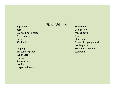### Ingredients Pizza Wheels

### Base:

150g self-raising flour 25g margarine 1 egg 50ml milk

Toppings: 25g tomato puree 50g cheese 1 tomato 3 mushrooms 1 onion 1 tsp dried herbs

Equipment: Baking tray Mixing bowl Grater Sharp knife Green chopping board Cooling wire Round bladed knife teaspoon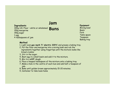### Jam

#### **Ingredients**

300g S.R. Flour - white or wholemeal Buns **Same Solution Server Server Server Startup Server Startup Server Startup Server Startup Server Startup Server Startup Server Startup Server Startup Server Startup Server Startup Server Startup Server Startup Server Startu** 150g margarine 150g sugar 1 egg 4 tablespoons of jam

#### Equipment

Mixing bowl Basin Fork Table spoon Teaspoon Baking tray

- 1, Light oven gas mark 7/ electric 220°C and grease a baking tray.
- 2, Put the flour and margarine into a mixing bowl and rub the ingredients together using fingertips until the mixture looks like bread crumbs.
- 3, Stir in the sugar.
- 4, Beat egg in a small basin and add it to the mixture.
- 5, Mix to a stiff dough.
- 6, Place a heaped tablespoon of the mixture onto a baking tray.
- 7, Make a hole in the centre of each bun and add half a teaspoon of jam.
- 8, Bake until golden brown approximately 15-20 minutes.
- 9, Container to take buns home